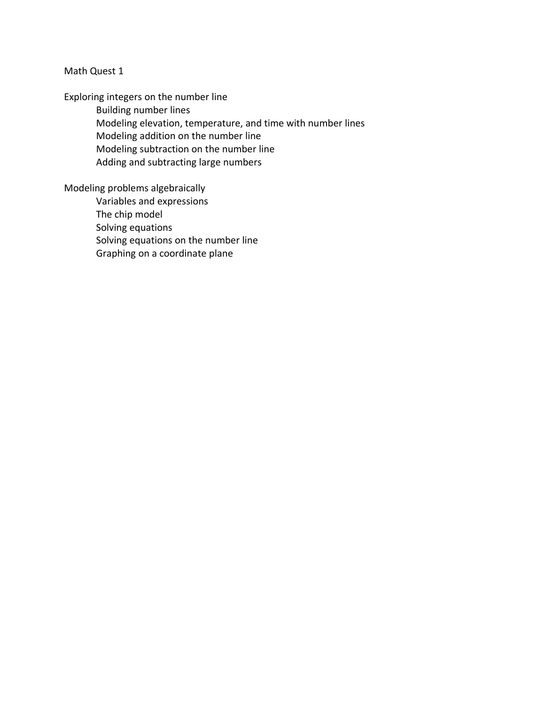Exploring integers on the number line

Building number lines Modeling elevation, temperature, and time with number lines Modeling addition on the number line Modeling subtraction on the number line Adding and subtracting large numbers

Modeling problems algebraically

Variables and expressions The chip model Solving equations Solving equations on the number line Graphing on a coordinate plane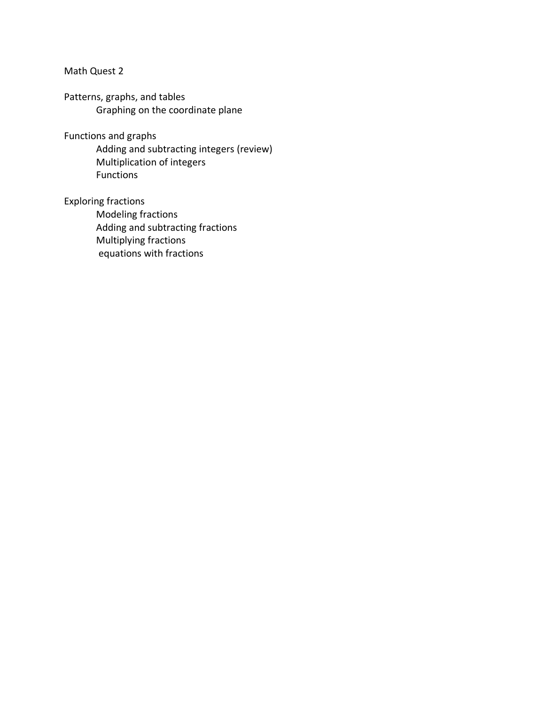Patterns, graphs, and tables Graphing on the coordinate plane

Functions and graphs

Adding and subtracting integers (review) Multiplication of integers Functions

Exploring fractions

Modeling fractions Adding and subtracting fractions Multiplying fractions equations with fractions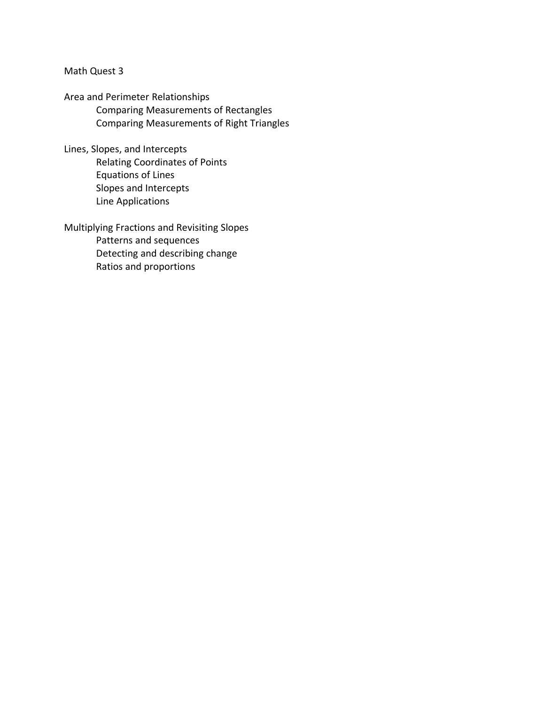Area and Perimeter Relationships Comparing Measurements of Rectangles Comparing Measurements of Right Triangles

Lines, Slopes, and Intercepts Relating Coordinates of Points Equations of Lines Slopes and Intercepts Line Applications

Multiplying Fractions and Revisiting Slopes Patterns and sequences Detecting and describing change Ratios and proportions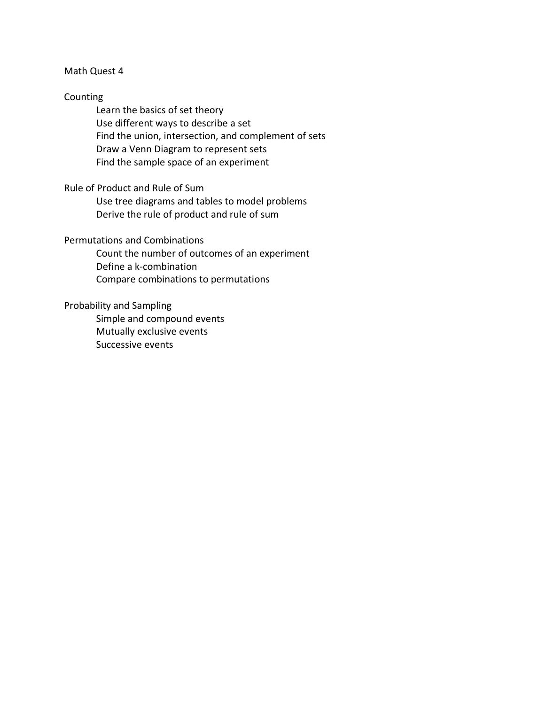### Counting

Learn the basics of set theory Use different ways to describe a set Find the union, intersection, and complement of sets Draw a Venn Diagram to represent sets Find the sample space of an experiment

## Rule of Product and Rule of Sum

Use tree diagrams and tables to model problems Derive the rule of product and rule of sum

# Permutations and Combinations

Count the number of outcomes of an experiment Define a k-combination Compare combinations to permutations

#### Probability and Sampling

Simple and compound events Mutually exclusive events Successive events